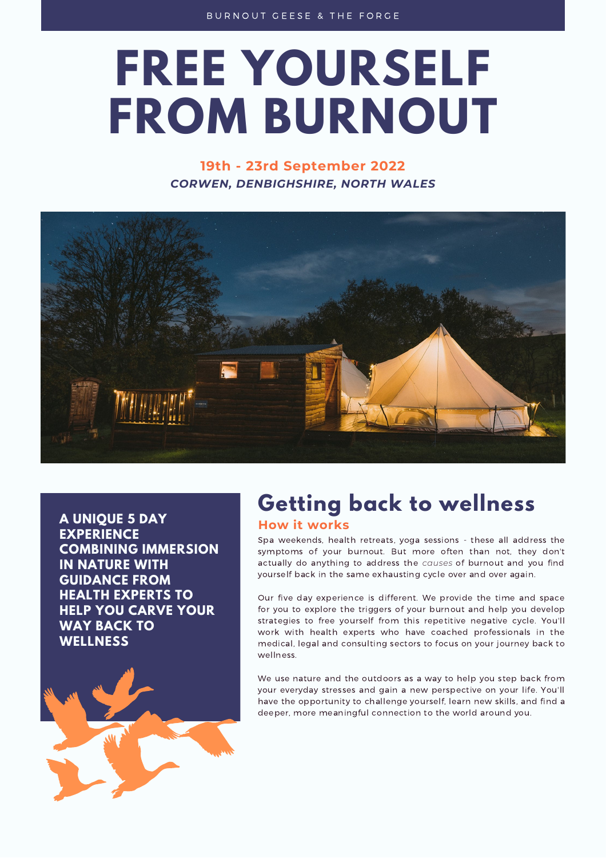# **FREE YOURSELF FROM BURNOUT**

# **19th - 23rd September 2022** *CORWEN, DENBIGHSHIRE, NORTH WALES*



**A UNIQUE 5 DAY EXPERIENCE COMBINING IMMERSION IN NATURE WITH GUIDANCE FROM HEALTH EXPERTS TO HELP YOU CARVE YOUR WAY BACK TO WELLNESS**



# **Getting back to wellness**

### **How it works**

Spa weekends, health retreats, yoga sessions - these all address the symptoms of your burnout. But more often than not, they don't actually do anything to address the *causes* of burnout and you find yourself back in the same exhausting cycle over and over again.

Our five day experience is different. We provide the time and space for you to explore the triggers of your burnout and help you develop strategies to free yourself from this repetitive negative cycle. You'll work with health experts who have coached professionals in the medical, legal and consulting sectors to focus on your journey back to wellness.

We use nature and the outdoors as a way to help you step back from your everyday stresses and gain a new perspective on your life. You'll have the opportunity to challenge yourself, learn new skills, and find a deeper, more meaningful connection to the world around you.